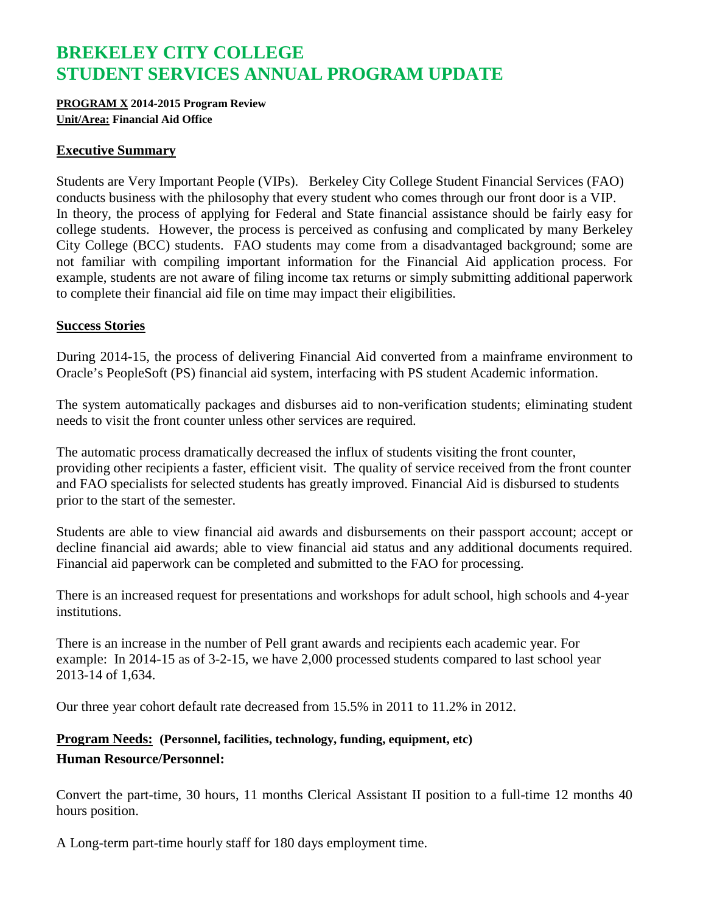# **BREKELEY CITY COLLEGE STUDENT SERVICES ANNUAL PROGRAM UPDATE**

#### **PROGRAM X 2014-2015 Program Review Unit/Area: Financial Aid Office**

#### **Executive Summary**

Students are Very Important People (VIPs). Berkeley City College Student Financial Services (FAO) conducts business with the philosophy that every student who comes through our front door is a VIP. In theory, the process of applying for Federal and State financial assistance should be fairly easy for college students. However, the process is perceived as confusing and complicated by many Berkeley City College (BCC) students. FAO students may come from a disadvantaged background; some are not familiar with compiling important information for the Financial Aid application process. For example, students are not aware of filing income tax returns or simply submitting additional paperwork to complete their financial aid file on time may impact their eligibilities.

#### **Success Stories**

During 2014-15, the process of delivering Financial Aid converted from a mainframe environment to Oracle's PeopleSoft (PS) financial aid system, interfacing with PS student Academic information.

The system automatically packages and disburses aid to non-verification students; eliminating student needs to visit the front counter unless other services are required.

The automatic process dramatically decreased the influx of students visiting the front counter, providing other recipients a faster, efficient visit. The quality of service received from the front counter and FAO specialists for selected students has greatly improved. Financial Aid is disbursed to students prior to the start of the semester.

Students are able to view financial aid awards and disbursements on their passport account; accept or decline financial aid awards; able to view financial aid status and any additional documents required. Financial aid paperwork can be completed and submitted to the FAO for processing.

There is an increased request for presentations and workshops for adult school, high schools and 4-year institutions.

There is an increase in the number of Pell grant awards and recipients each academic year. For example: In 2014-15 as of 3-2-15, we have 2,000 processed students compared to last school year 2013-14 of 1,634.

Our three year cohort default rate decreased from 15.5% in 2011 to 11.2% in 2012.

## **Program Needs: (Personnel, facilities, technology, funding, equipment, etc) Human Resource/Personnel:**

Convert the part-time, 30 hours, 11 months Clerical Assistant II position to a full-time 12 months 40 hours position.

A Long-term part-time hourly staff for 180 days employment time.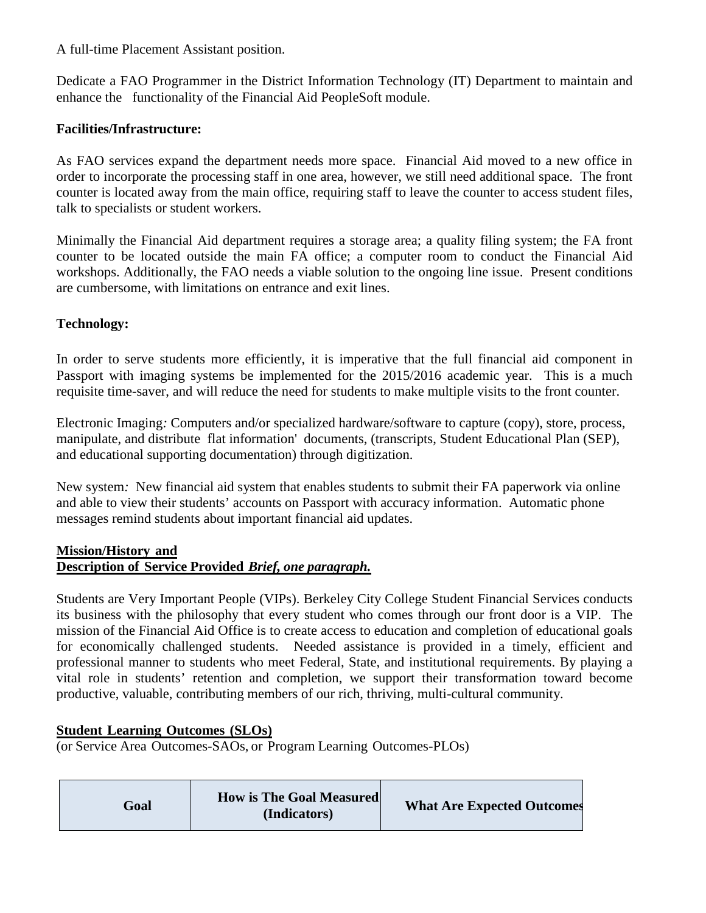A full-time Placement Assistant position.

Dedicate a FAO Programmer in the District Information Technology (IT) Department to maintain and enhance the functionality of the Financial Aid PeopleSoft module.

## **Facilities/Infrastructure:**

As FAO services expand the department needs more space. Financial Aid moved to a new office in order to incorporate the processing staff in one area, however, we still need additional space. The front counter is located away from the main office, requiring staff to leave the counter to access student files, talk to specialists or student workers.

Minimally the Financial Aid department requires a storage area; a quality filing system; the FA front counter to be located outside the main FA office; a computer room to conduct the Financial Aid workshops. Additionally, the FAO needs a viable solution to the ongoing line issue. Present conditions are cumbersome, with limitations on entrance and exit lines.

## **Technology:**

In order to serve students more efficiently, it is imperative that the full financial aid component in Passport with imaging systems be implemented for the 2015/2016 academic year. This is a much requisite time-saver, and will reduce the need for students to make multiple visits to the front counter.

Electronic Imaging*:* [Computers](http://www.businessdictionary.com/definition/computer.html) and/or specialized hardware/software to [capture](http://www.businessdictionary.com/definition/capture.html) [\(copy\)](http://www.businessdictionary.com/definition/copy.html), [store,](http://www.businessdictionary.com/definition/store.html) [process,](http://www.businessdictionary.com/definition/process.html) manipulate, and distribute [flat](http://www.businessdictionary.com/definition/flat.html) [information'](http://www.businessdictionary.com/definition/information.html) [documents,](http://www.businessdictionary.com/definition/documents.html) (transcripts, Student Educational Plan (SEP), and educational supporting documentation) through [digitization.](http://www.businessdictionary.com/definition/digitization.html)

New system*:* New financial aid system that enables students to submit their FA paperwork via online and able to view their students' accounts on Passport with accuracy information. Automatic phone messages remind students about important financial aid updates.

## **Mission/History and Description of Service Provided** *Brief, one paragraph.*

Students are Very Important People (VIPs). Berkeley City College Student Financial Services conducts its business with the philosophy that every student who comes through our front door is a VIP. The mission of the Financial Aid Office is to create access to education and completion of educational goals for economically challenged students. Needed assistance is provided in a timely, efficient and professional manner to students who meet Federal, State, and institutional requirements. By playing a vital role in students' retention and completion, we support their transformation toward become productive, valuable, contributing members of our rich, thriving, multi-cultural community.

## **Student Learning Outcomes (SLOs)**

(or Service Area Outcomes-SAOs, or Program Learning Outcomes-PLOs)

| Goal | <b>How is The Goal Measured</b><br>(Indicators) | <b>What Are Expected Outcomes</b> |
|------|-------------------------------------------------|-----------------------------------|
|------|-------------------------------------------------|-----------------------------------|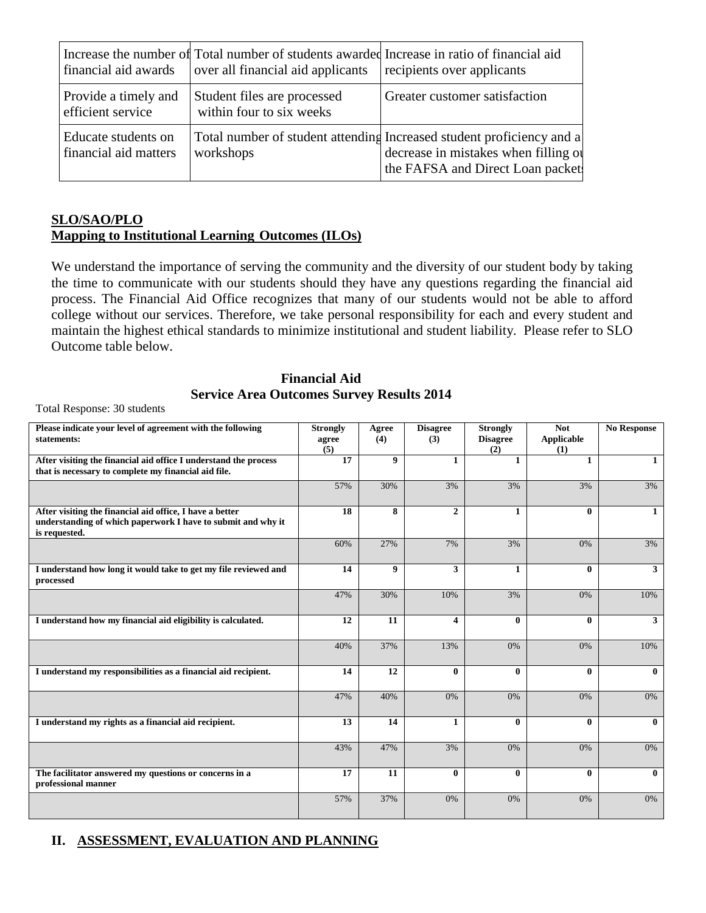| financial aid awards                         | Increase the number of Total number of students awarded Increase in ratio of financial aid<br>over all financial aid applicants | recipients over applicants                                                                                                                        |
|----------------------------------------------|---------------------------------------------------------------------------------------------------------------------------------|---------------------------------------------------------------------------------------------------------------------------------------------------|
| Provide a timely and<br>efficient service    | Student files are processed<br>within four to six weeks                                                                         | Greater customer satisfaction                                                                                                                     |
| Educate students on<br>financial aid matters | workshops                                                                                                                       | Total number of student attending Increased student proficiency and a<br>decrease in mistakes when filling of<br>the FAFSA and Direct Loan packet |

### **SLO/SAO/PLO Mapping to Institutional Learning Outcomes (ILOs)**

We understand the importance of serving the community and the diversity of our student body by taking the time to communicate with our students should they have any questions regarding the financial aid process. The Financial Aid Office recognizes that many of our students would not be able to afford college without our services. Therefore, we take personal responsibility for each and every student and maintain the highest ethical standards to minimize institutional and student liability. Please refer to SLO Outcome table below.

### **Financial Aid Service Area Outcomes Survey Results 2014**

Total Response: 30 students

| Please indicate your level of agreement with the following<br>statements:                                                                 | <b>Strongly</b><br>agree<br>(5) | Agree<br>(4)     | <b>Disagree</b><br>(3)  | <b>Strongly</b><br><b>Disagree</b><br>(2) | <b>Not</b><br><b>Applicable</b><br>(1) | <b>No Response</b> |
|-------------------------------------------------------------------------------------------------------------------------------------------|---------------------------------|------------------|-------------------------|-------------------------------------------|----------------------------------------|--------------------|
| After visiting the financial aid office I understand the process<br>that is necessary to complete my financial aid file.                  | 17                              | 9                | $\mathbf{1}$            | 1                                         | $\mathbf{1}$                           | 1                  |
|                                                                                                                                           | 57%                             | 30%              | 3%                      | 3%                                        | 3%                                     | 3%                 |
| After visiting the financial aid office, I have a better<br>understanding of which paperwork I have to submit and why it<br>is requested. | 18                              | 8                | $\overline{2}$          | $\mathbf{1}$                              | $\bf{0}$                               | $\mathbf{1}$       |
|                                                                                                                                           | 60%                             | 27%              | 7%                      | 3%                                        | 0%                                     | 3%                 |
| I understand how long it would take to get my file reviewed and<br>processed                                                              | 14                              | $\boldsymbol{Q}$ | $\mathbf{3}$            | $\mathbf{1}$                              | $\mathbf{0}$                           | $\mathbf{3}$       |
|                                                                                                                                           | 47%                             | 30%              | 10%                     | 3%                                        | 0%                                     | 10%                |
| I understand how my financial aid eligibility is calculated.                                                                              | 12                              | 11               | $\overline{\mathbf{4}}$ | $\bf{0}$                                  | $\mathbf{0}$                           | $\mathbf{3}$       |
|                                                                                                                                           | 40%                             | 37%              | 13%                     | 0%                                        | 0%                                     | 10%                |
| I understand my responsibilities as a financial aid recipient.                                                                            | 14                              | 12               | $\mathbf{0}$            | $\mathbf{0}$                              | $\mathbf{0}$                           | $\mathbf{0}$       |
|                                                                                                                                           | 47%                             | 40%              | 0%                      | 0%                                        | 0%                                     | 0%                 |
| I understand my rights as a financial aid recipient.                                                                                      | 13                              | 14               | $\mathbf{1}$            | $\mathbf{0}$                              | $\mathbf{0}$                           | $\mathbf{0}$       |
|                                                                                                                                           | 43%                             | 47%              | 3%                      | 0%                                        | 0%                                     | 0%                 |
| The facilitator answered my questions or concerns in a<br>professional manner                                                             | 17                              | 11               | $\bf{0}$                | $\bf{0}$                                  | $\mathbf{0}$                           | $\mathbf{0}$       |
|                                                                                                                                           | 57%                             | 37%              | 0%                      | 0%                                        | 0%                                     | 0%                 |

## **II. ASSESSMENT, EVALUATION AND PLANNING**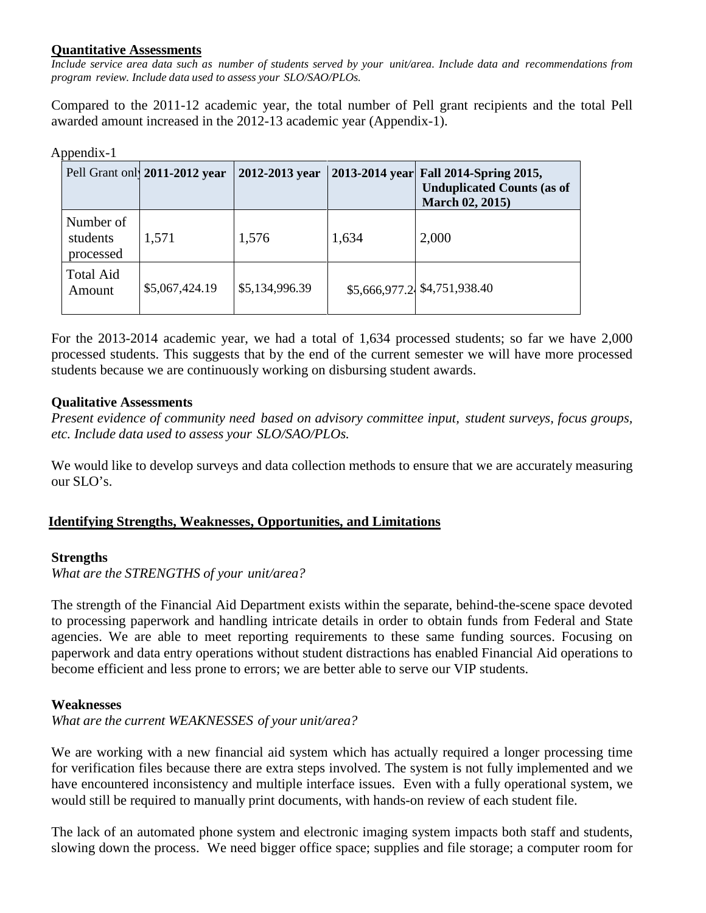### **Quantitative Assessments**

Include service area data such as number of students served by your unit/area. Include data and recommendations from *program review. Include data used to assess your SLO/SAO/PLOs.*

Compared to the 2011-12 academic year, the total number of Pell grant recipients and the total Pell awarded amount increased in the 2012-13 academic year (Appendix-1).

#### Appendix-1

|                                    | Pell Grant only 2011-2012 year | 2012-2013 year |       | 2013-2014 year Fall 2014-Spring 2015,<br><b>Unduplicated Counts (as of</b><br><b>March 02, 2015)</b> |
|------------------------------------|--------------------------------|----------------|-------|------------------------------------------------------------------------------------------------------|
| Number of<br>students<br>processed | 1,571                          | 1,576          | 1,634 | 2,000                                                                                                |
| <b>Total Aid</b><br>Amount         | \$5,067,424.19                 | \$5,134,996.39 |       | \$5,666,977.2 \$4,751,938.40                                                                         |

For the 2013-2014 academic year, we had a total of 1,634 processed students; so far we have 2,000 processed students. This suggests that by the end of the current semester we will have more processed students because we are continuously working on disbursing student awards.

#### **Qualitative Assessments**

*Present evidence of community need based on advisory committee input, student surveys, focus groups, etc. Include data used to assess your SLO/SAO/PLOs.*

We would like to develop surveys and data collection methods to ensure that we are accurately measuring our  $\overline{SLO}$ 's.

#### **Identifying Strengths, Weaknesses, Opportunities, and Limitations**

#### **Strengths**

*What are the STRENGTHS of your unit/area?*

The strength of the Financial Aid Department exists within the separate, behind-the-scene space devoted to processing paperwork and handling intricate details in order to obtain funds from Federal and State agencies. We are able to meet reporting requirements to these same funding sources. Focusing on paperwork and data entry operations without student distractions has enabled Financial Aid operations to become efficient and less prone to errors; we are better able to serve our VIP students.

#### **Weaknesses**

*What are the current WEAKNESSES of your unit/area?*

We are working with a new financial aid system which has actually required a longer processing time for verification files because there are extra steps involved. The system is not fully implemented and we have encountered inconsistency and multiple interface issues. Even with a fully operational system, we would still be required to manually print documents, with hands-on review of each student file.

The lack of an automated phone system and electronic imaging system impacts both staff and students, slowing down the process. We need bigger office space; supplies and file storage; a computer room for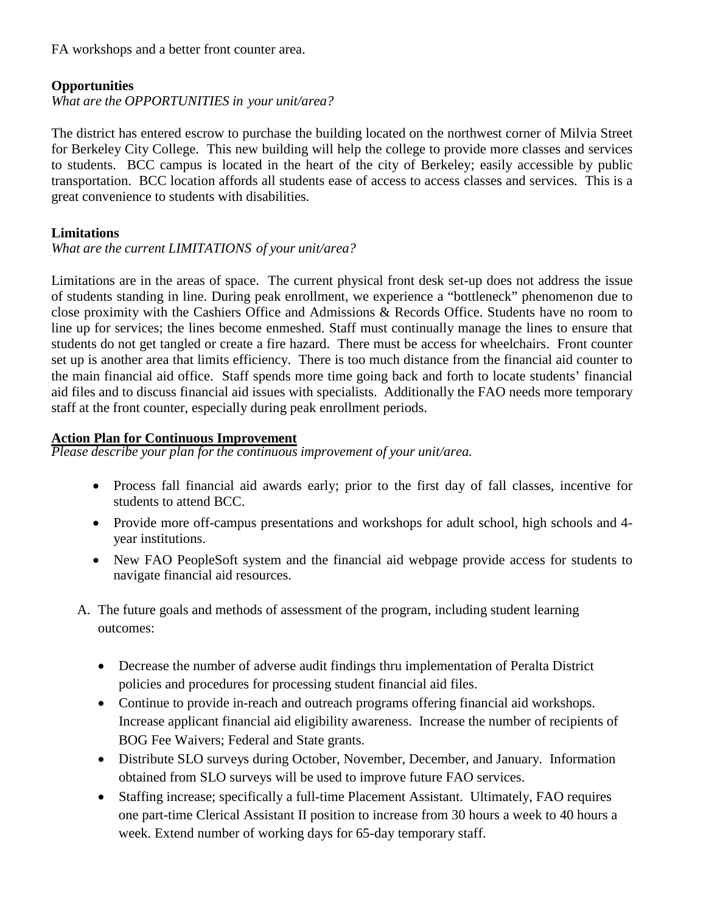FA workshops and a better front counter area.

## **Opportunities**

*What are the OPPORTUNITIES in your unit/area?*

The district has entered escrow to purchase the building located on the northwest corner of Milvia Street for Berkeley City College. This new building will help the college to provide more classes and services to students. BCC campus is located in the heart of the city of Berkeley; easily accessible by public transportation. BCC location affords all students ease of access to access classes and services. This is a great convenience to students with disabilities.

## **Limitations**

## *What are the current LIMITATIONS of your unit/area?*

Limitations are in the areas of space. The current physical front desk set-up does not address the issue of students standing in line. During peak enrollment, we experience a "bottleneck" phenomenon due to close proximity with the Cashiers Office and Admissions & Records Office. Students have no room to line up for services; the lines become enmeshed. Staff must continually manage the lines to ensure that students do not get tangled or create a fire hazard. There must be access for wheelchairs. Front counter set up is another area that limits efficiency. There is too much distance from the financial aid counter to the main financial aid office. Staff spends more time going back and forth to locate students' financial aid files and to discuss financial aid issues with specialists. Additionally the FAO needs more temporary staff at the front counter, especially during peak enrollment periods.

## **Action Plan for Continuous Improvement**

*Please describe your plan for the continuous improvement of your unit/area.*

- Process fall financial aid awards early; prior to the first day of fall classes, incentive for students to attend BCC.
- Provide more off-campus presentations and workshops for adult school, high schools and 4 year institutions.
- New FAO PeopleSoft system and the financial aid webpage provide access for students to navigate financial aid resources.
- A. The future goals and methods of assessment of the program, including student learning outcomes:
	- Decrease the number of adverse audit findings thru implementation of Peralta District policies and procedures for processing student financial aid files.
	- Continue to provide in-reach and outreach programs offering financial aid workshops. Increase applicant financial aid eligibility awareness. Increase the number of recipients of BOG Fee Waivers; Federal and State grants.
	- Distribute SLO surveys during October, November, December, and January. Information obtained from SLO surveys will be used to improve future FAO services.
	- Staffing increase; specifically a full-time Placement Assistant. Ultimately, FAO requires one part-time Clerical Assistant II position to increase from 30 hours a week to 40 hours a week. Extend number of working days for 65-day temporary staff.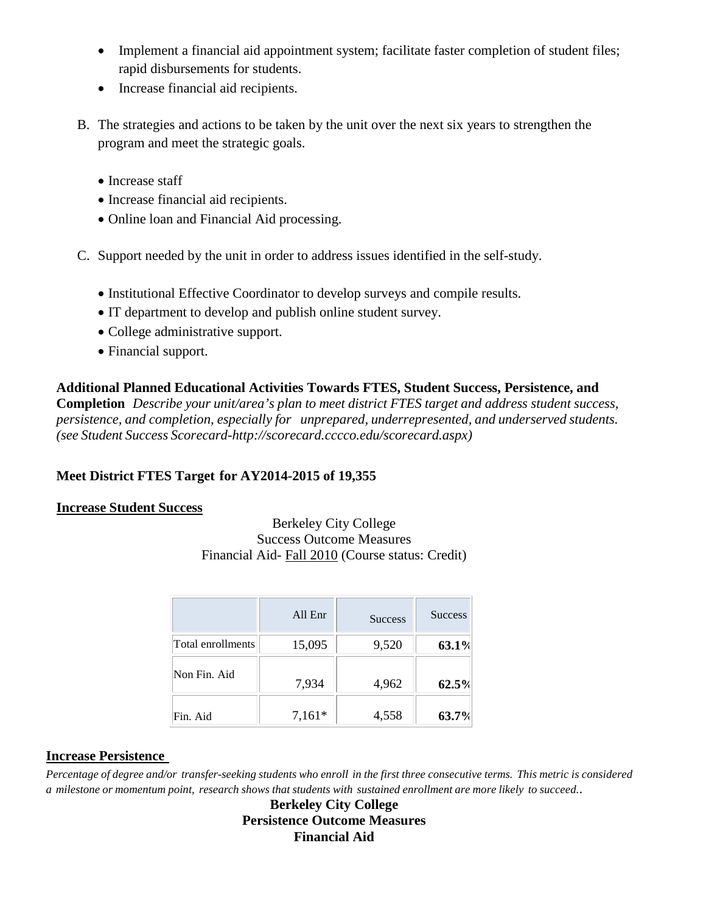- Implement a financial aid appointment system; facilitate faster completion of student files; rapid disbursements for students.
- Increase financial aid recipients.
- B. The strategies and actions to be taken by the unit over the next six years to strengthen the program and meet the strategic goals.
	- Increase staff
	- Increase financial aid recipients.
	- Online loan and Financial Aid processing.
- C. Support needed by the unit in order to address issues identified in the self-study.
	- Institutional Effective Coordinator to develop surveys and compile results.
	- IT department to develop and publish online student survey.
	- College administrative support.
	- Financial support.

**Additional Planned Educational Activities Towards FTES, Student Success, Persistence, and Completion** *Describe your unit/area's plan to meet district FTES target and address student success, persistence, and completion, especially for unprepared, underrepresented, and underserved students. (see Student Success Scorecard[-http://scorecard.cccco.edu/scorecard.aspx\)](http://scorecard.cccco.edu/scorecard.aspx))*

## **Meet District FTES Target for AY2014-2015 of 19,355**

## **Increase Student Success**

Berkeley City College Success Outcome Measures Financial Aid- Fall 2010 (Course status: Credit)

|                   | All Enr  | <b>Success</b> | <b>Success</b> |
|-------------------|----------|----------------|----------------|
| Total enrollments | 15,095   | 9,520          | 63.1%          |
| Non Fin. Aid      | 7,934    | 4,962          | 62.5%          |
| Fin. Aid          | $7,161*$ | 4,558          | 63.7%          |

## **Increase Persistence**

Percentage of degree and/or transfer-seeking students who enroll in the first three consecutive terms. This metric is considered a milestone or momentum point, research shows that students with sustained enrollment are more likely to succeed..

**Berkeley City College Persistence Outcome Measures Financial Aid**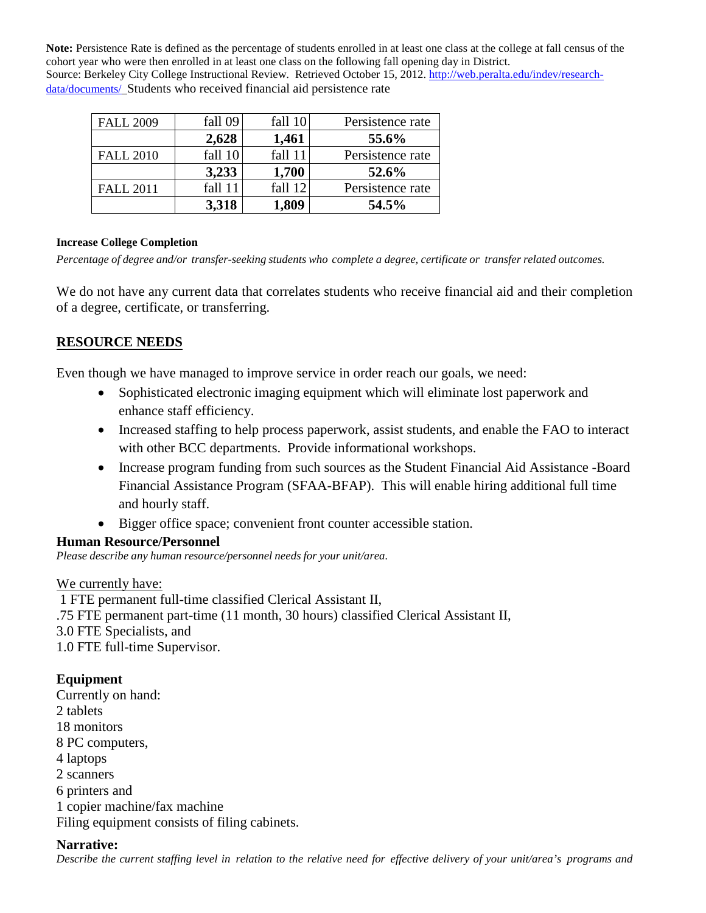**Note:** Persistence Rate is defined as the percentage of students enrolled in at least one class at the college at fall census of the cohort year who were then enrolled in at least one class on the following fall opening day in District. Source: Berkeley City College Instructional Review. Retrieved October 15, 2012. [http://web.peralta.edu/indev/research](http://web.peralta.edu/indev/research-data/documents/)[data/documents/](http://web.peralta.edu/indev/research-data/documents/) Students who received financial aid persistence rate

| <b>FALL 2009</b> | fall 09 | fall 10 | Persistence rate |
|------------------|---------|---------|------------------|
|                  | 2,628   | 1,461   | 55.6%            |
| <b>FALL 2010</b> | fall 10 | fall 11 | Persistence rate |
|                  | 3,233   | 1,700   | 52.6%            |
| <b>FALL 2011</b> | fall 11 | fall 12 | Persistence rate |
|                  | 3,318   | 1,809   | 54.5%            |

#### **Increase College Completion**

*Percentage of degree and/or transfer-seeking students who complete a degree, certificate or transfer related outcomes.*

We do not have any current data that correlates students who receive financial aid and their completion of a degree, certificate, or transferring.

## **RESOURCE NEEDS**

Even though we have managed to improve service in order reach our goals, we need:

- Sophisticated electronic imaging equipment which will eliminate lost paperwork and enhance staff efficiency.
- Increased staffing to help process paperwork, assist students, and enable the FAO to interact with other BCC departments. Provide informational workshops.
- Increase program funding from such sources as the Student Financial Aid Assistance -Board Financial Assistance Program (SFAA-BFAP). This will enable hiring additional full time and hourly staff.
- Bigger office space; convenient front counter accessible station.

## **Human Resource/Personnel**

*Please describe any human resource/personnel needs for your unit/area.*

## We currently have:

1 FTE permanent full-time classified Clerical Assistant II, .75 FTE permanent part-time (11 month, 30 hours) classified Clerical Assistant II, 3.0 FTE Specialists, and 1.0 FTE full-time Supervisor.

## **Equipment**

Currently on hand: 2 tablets 18 monitors 8 PC computers, 4 laptops 2 scanners 6 printers and 1 copier machine/fax machine Filing equipment consists of filing cabinets.

## **Narrative:**

Describe the current staffing level in relation to the relative need for effective delivery of your unit/area's programs and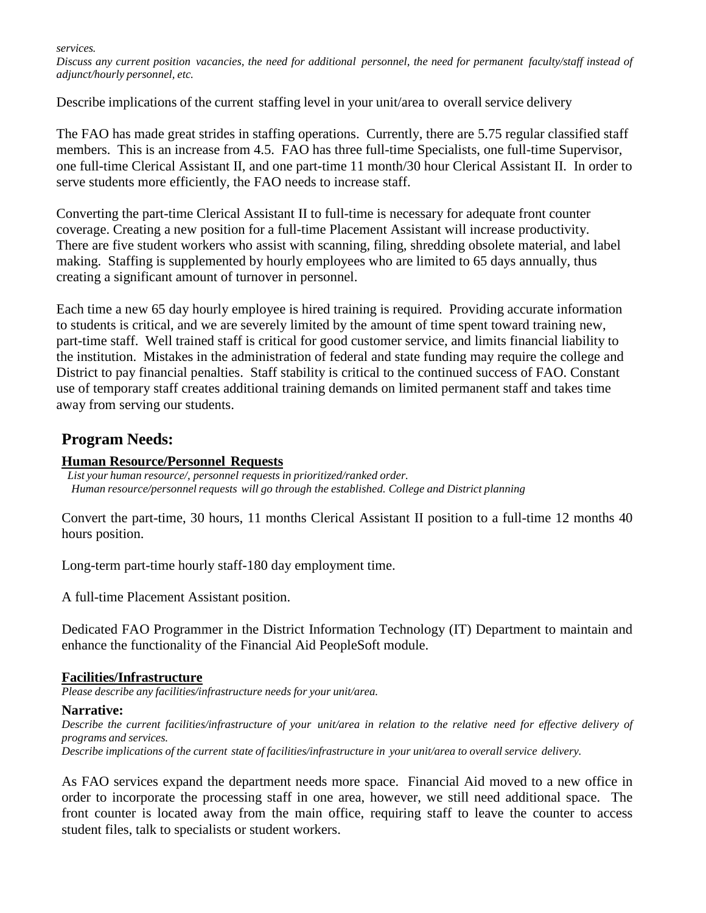*services.*

Discuss any current position vacancies, the need for additional personnel, the need for permanent faculty/staff instead of *adjunct/hourly personnel, etc.*

Describe implications of the current staffing level in your unit/area to overall service delivery

The FAO has made great strides in staffing operations. Currently, there are 5.75 regular classified staff members. This is an increase from 4.5. FAO has three full-time Specialists, one full-time Supervisor, one full-time Clerical Assistant II, and one part-time 11 month/30 hour Clerical Assistant II. In order to serve students more efficiently, the FAO needs to increase staff.

Converting the part-time Clerical Assistant II to full-time is necessary for adequate front counter coverage. Creating a new position for a full-time Placement Assistant will increase productivity. There are five student workers who assist with scanning, filing, shredding obsolete material, and label making. Staffing is supplemented by hourly employees who are limited to 65 days annually, thus creating a significant amount of turnover in personnel.

Each time a new 65 day hourly employee is hired training is required. Providing accurate information to students is critical, and we are severely limited by the amount of time spent toward training new, part-time staff. Well trained staff is critical for good customer service, and limits financial liability to the institution. Mistakes in the administration of federal and state funding may require the college and District to pay financial penalties. Staff stability is critical to the continued success of FAO. Constant use of temporary staff creates additional training demands on limited permanent staff and takes time away from serving our students.

## **Program Needs:**

### **Human Resource/Personnel Requests**

 *List your human resource/, personnel requests in prioritized/ranked order. Human resource/personnel requests will go through the established. College and District planning* 

Convert the part-time, 30 hours, 11 months Clerical Assistant II position to a full-time 12 months 40 hours position.

Long-term part-time hourly staff-180 day employment time.

A full-time Placement Assistant position.

Dedicated FAO Programmer in the District Information Technology (IT) Department to maintain and enhance the functionality of the Financial Aid PeopleSoft module.

#### **Facilities/Infrastructure**

*Please describe any facilities/infrastructure needs for your unit/area.*

#### **Narrative:**

Describe the current facilities/infrastructure of your unit/area in relation to the relative need for effective delivery of *programs and services.*

*Describe implications of the current state of facilities/infrastructure in your unit/area to overall service delivery.*

As FAO services expand the department needs more space. Financial Aid moved to a new office in order to incorporate the processing staff in one area, however, we still need additional space. The front counter is located away from the main office, requiring staff to leave the counter to access student files, talk to specialists or student workers.